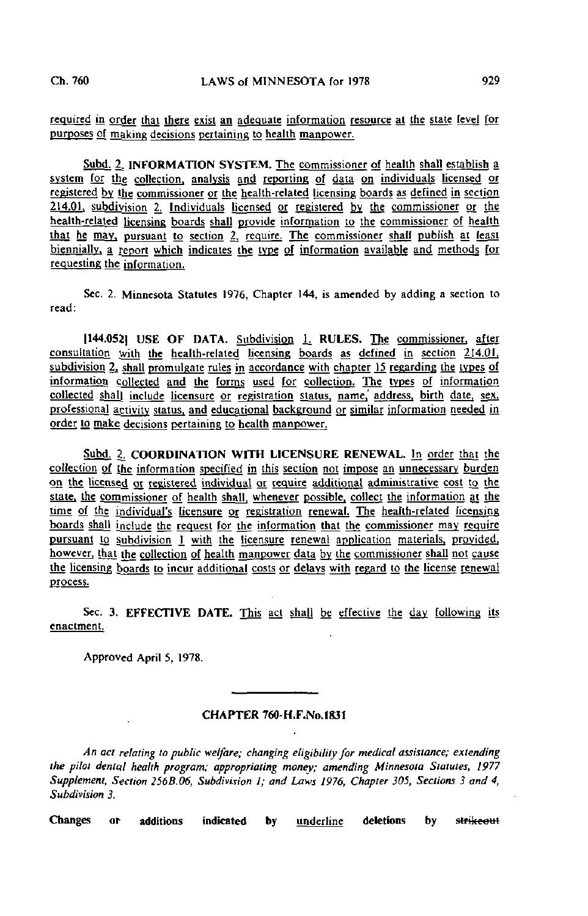required in order that there exist an adequate information resource at the state level for purposes of making decisions pertaining to health manpower.

Subd. 2. INFORMATION SYSTEM. The commissioner of health shall establish a system for the collection, analysis and reporting of data on individuals licensed or registered by the commissioner or the health-related licensing boards as defined in section 214.01. subdivision 2. Individuals licensed or registered by the commissioner or the health-related licensing boards shall provide information to the commissioner of health that he may, pursuant to section 2, require. The commissioner shall publish at least biennially, a report which indicates the type of information available and methods for requesting the information.

Sec. 2. Minnesota Statutes 1976, Chapter 144, is amended by adding a section to read:

[144.052] USE OF DATA. Subdivision 1. RULES. The commissioner, after consultation with the health-related licensing boards as defined in section 214.01, subdivision 2, shall promulgate rules in accordance with chapter 15 regarding the types of information collected and the forms used for collection. The types of information collected shall include licensure or registration status, name, address, birth date, sex, professional activity status, and educational background or similar information needed in order to make decisions pertaining to health manpower.

Subd. 2. COORDINATION WITH LICENSURE RENEWAL. In order that the collection of the information specified in this section not impose an unnecessary burden on. the licensed or registered individual or require additional administrative cost to the state, the commissioner of health shall, whenever possible, collect the information at the time of the individual's licensure or registration renewal. The health-related licensing boards shall include the request for the information that the commissioner may require pursuant to subdivision 1 with the licensure renewal application materials, provided, however, that the collection of health manpower data by the commissioner shall not cause the licensing boards to incur additional costs or delays with regard to the license renewal process.

Sec. 3. EFFECTIVE DATE. This act shall be effective the day following its enactment.

Approved April 5, 1978.

## CHAPTER 760-H.F.No.l831

An act relating to public welfare; changing eligibility for medical assistance; extending the pilot denial health program; appropriating money; amending Minnesota Statutes, 1977 Supplement, Section 256B.06, Subdivision I; and Laws 1976, Chapter 305, Sections 3 and 4, Subdivision 3.

Changes or additions indicated by underline deletions by strikeout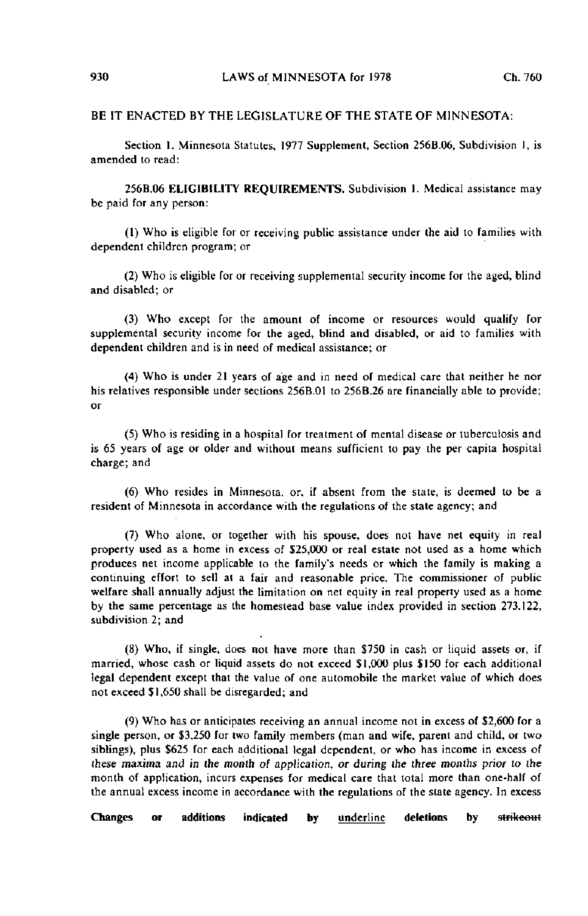## BE IT ENACTED BY THE LEGISLATURE OF THE STATE OF MINNESOTA:

Section 1. Minnesota Statutes, 1977 Supplement, Section 256B.06, Subdivision I, is amended to read:

256B.06 ELIGIBILITY REQUIREMENTS. Subdivision I. Medical assistance may be paid for any person:

(1) Who is eligible for or receiving public assistance under the aid to families with dependent children program; or

(2) Who is eligible for or receiving supplemental security income for the aged, blind and disabled; or

(3) Who except for the amount of income or resources would qualify for supplemental security income for the aged, blind and disabled, or aid to families with dependent children and is in need of medical assistance; or

(4) Who is under 21 years of age and in need of medical care that neither he nor his relatives responsible under sections 256B.01 to 256B.26 are financially able to provide; or

(5) Who is residing in a hospital for treatment of mental disease or tuberculosis and is 65 years of age or older and without means sufficient to pay the per capita hospital charge; and

(6) Who resides in Minnesota, or, if absent from the state, is deemed to be a resident of Minnesota in accordance with the regulations of the state agency; and

(7) Who alone, or together with his spouse, does not have net equity in real property used as a home in excess of 525,000 or real estate not used as a home which produces net income applicable to the family's needs or which the family is making a continuing effort to sell at a fair and reasonable price. The commissioner of public welfare shall annually adjust the limitation on net equity in real property used as a home by the same percentage as the homestead base value index provided in section 273.122, subdivision 2; and

(8) Who, if single, does not have more than \$750 in cash or liquid assets or, if married, whose cash or liquid assets do not exceed \$1,000 plus \$150 for each additional legal dependent except that the value of one automobile the market value of which does not exceed \$1,650 shall be disregarded; and

(9) Who has or anticipates receiving an annual income not in excess of \$2,600 for a single person, or \$3,250 for two family members (man and wife, parent and child, or two siblings), plus \$625 for each additional legal dependent, or who has income in excess of these maxima and in the month of application, or during the three months prior to the month of application, incurs expenses for medical care that total more than one-half of the annual excess income in accordance with the regulations of the state agency. In excess

Changes or additions indicated by <u>underline</u> deletions by strikeout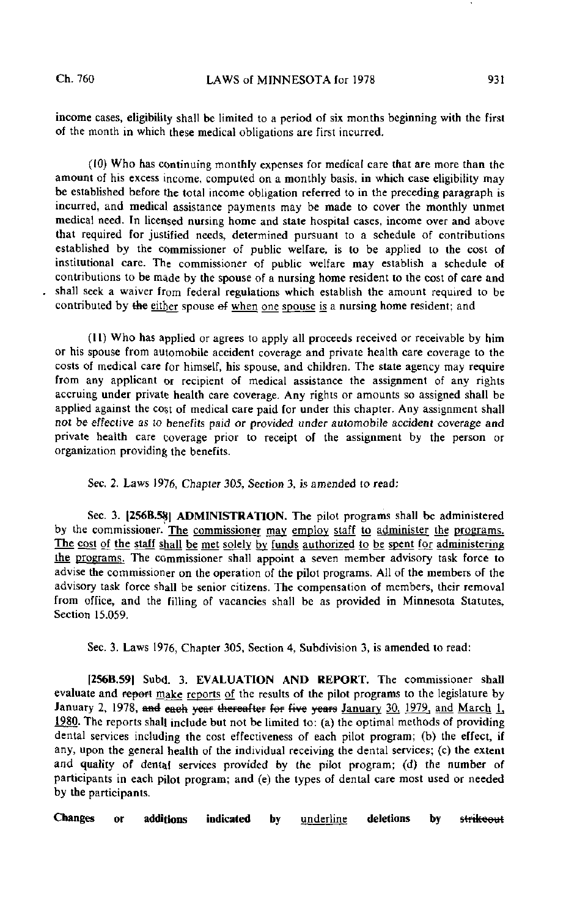income cases, eligibility shall be limited to a period of six months beginning with the first of the month in which these medical obligations are first incurred.

(10) Who has continuing monthly expenses for medical care that are more than the amount of his excess income, computed on a monthly basis, in which case eligibility may be established before the total income obligation referred to in the preceding paragraph is incurred, and medical assistance payments may be made to cover the monthly unmet medical need. In licensed nursing home and state hospital cases, income over and above that required for justified needs, determined pursuant to a schedule of contributions established by the commissioner of public welfare, is to be applied to the cost of institutional care. The commissioner of public welfare may establish a schedule of contributions to be made by the spouse of a nursing home resident to the cost of care and shall seek a waiver from federal regulations which establish the amount required to be contributed by the either spouse of when one spouse is a nursing home resident; and

(11) Who has applied or agrees to apply all proceeds received or receivable by him or his spouse from automobile accident coverage and private health care coverage to the costs of medical care for himself, his spouse, and children. The state agency may require from any applicant or recipient of medical assistance the assignment of any rights accruing under private health care coverage. Any rights or amounts so assigned shall be applied against the cost of medical care paid for under this chapter. Any assignment shall not be effective as to benefits paid or provided under automobile accident coverage and private health care coverage prior to receipt of the assignment by the person or organization providing the benefits.

Sec. 2. Laws 1976, Chapter 305, Section 3, is amended lo read:

Sec. 3. [256B.58] ADMINISTRATION. The pilot programs shall be administered by the commissioner. The commissioner may employ staff to administer the programs. The cost of the staff shall be met solely by funds authorized to be spent for administering the programs, The commissioner shall appoint a seven member advisory task force to advise the commissioner on the operation of the pilot programs. All of the members of the advisory task force shall be senior citizens. The compensation of members, their removal from office, and the filling of vacancies shall be as provided in Minnesota Statutes, Section 15.059.

Sec. 3. Laws 1976, Chapter 305, Section 4, Subdivision 3, is amended to read:

|256B.59| Subd. 3. EVALUATION AND REPORT. The commissioner shall evaluate and report make reports of the results of the pilot programs to the legislature by January 2, 1978, and each year thereafter for five years January 30, 1979, and March 1, 1980. The reports shall include but not be limited to: (a) the optimal methods of providing dental services including the cost effectiveness of each pilot program; (b) the effect, if any, upon the general health of the individual receiving the dental services; (c) the extent and quality of dental services provided by the pilot program; (d) the number of participants in each pilot program; and (e) the types of dental care most used or needed by the participants.

Changes or additions indicated by <u>underline</u> deletions by strikeout